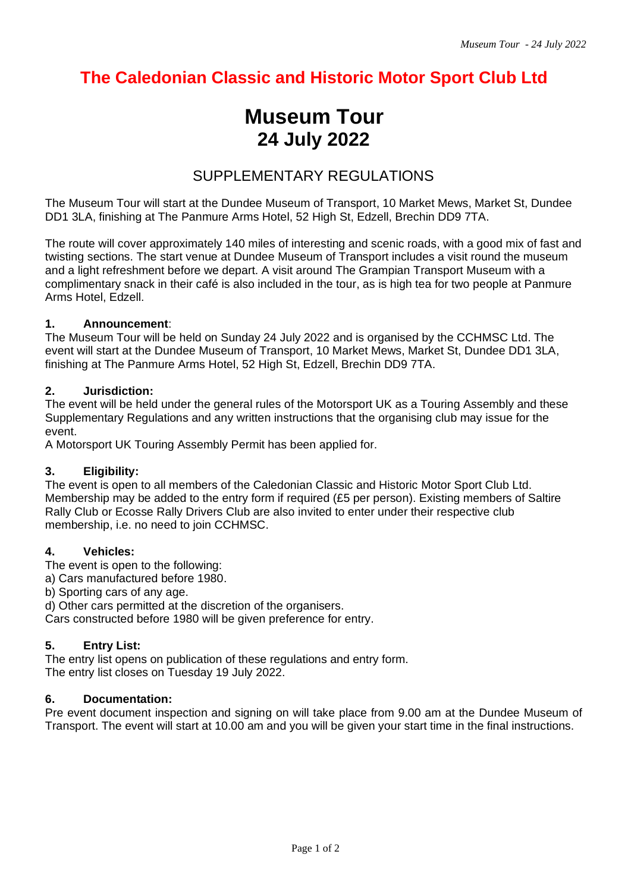## **The Caledonian Classic and Historic Motor Sport Club Ltd**

# **Museum Tour 24 July 2022**

## SUPPLEMENTARY REGULATIONS

The Museum Tour will start at the Dundee Museum of Transport, 10 Market Mews, Market St, Dundee DD1 3LA, finishing at The Panmure Arms Hotel, 52 High St, Edzell, Brechin DD9 7TA.

The route will cover approximately 140 miles of interesting and scenic roads, with a good mix of fast and twisting sections. The start venue at Dundee Museum of Transport includes a visit round the museum and a light refreshment before we depart. A visit around The Grampian Transport Museum with a complimentary snack in their café is also included in the tour, as is high tea for two people at Panmure Arms Hotel, Edzell.

## **1. Announcement**:

The Museum Tour will be held on Sunday 24 July 2022 and is organised by the CCHMSC Ltd. The event will start at the Dundee Museum of Transport, 10 Market Mews, Market St, Dundee DD1 3LA, finishing at The Panmure Arms Hotel, 52 High St, Edzell, Brechin DD9 7TA.

## **2. Jurisdiction:**

The event will be held under the general rules of the Motorsport UK as a Touring Assembly and these Supplementary Regulations and any written instructions that the organising club may issue for the event.

A Motorsport UK Touring Assembly Permit has been applied for.

## **3. Eligibility:**

The event is open to all members of the Caledonian Classic and Historic Motor Sport Club Ltd. Membership may be added to the entry form if required (£5 per person). Existing members of Saltire Rally Club or Ecosse Rally Drivers Club are also invited to enter under their respective club membership, i.e. no need to join CCHMSC.

## **4. Vehicles:**

The event is open to the following:

- a) Cars manufactured before 1980.
- b) Sporting cars of any age.

d) Other cars permitted at the discretion of the organisers.

Cars constructed before 1980 will be given preference for entry.

## **5. Entry List:**

The entry list opens on publication of these regulations and entry form. The entry list closes on Tuesday 19 July 2022.

## **6. Documentation:**

Pre event document inspection and signing on will take place from 9.00 am at the Dundee Museum of Transport. The event will start at 10.00 am and you will be given your start time in the final instructions.